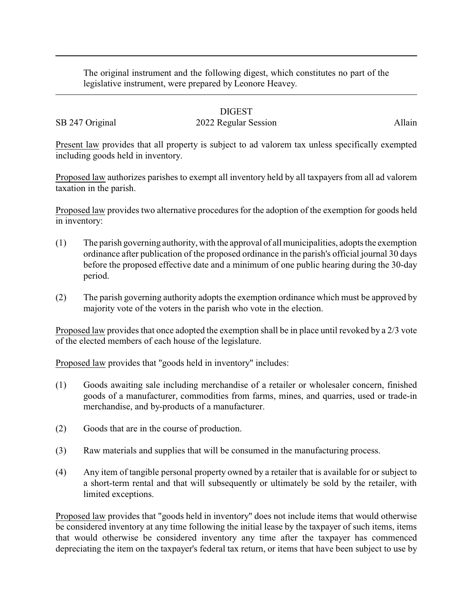The original instrument and the following digest, which constitutes no part of the legislative instrument, were prepared by Leonore Heavey.

## DIGEST

## SB 247 Original 2022 Regular Session Allain

Present law provides that all property is subject to ad valorem tax unless specifically exempted including goods held in inventory.

Proposed law authorizes parishes to exempt all inventory held by all taxpayers from all ad valorem taxation in the parish.

Proposed law provides two alternative procedures for the adoption of the exemption for goods held in inventory:

- (1) The parish governing authority, with the approval of all municipalities, adopts the exemption ordinance after publication of the proposed ordinance in the parish's official journal 30 days before the proposed effective date and a minimum of one public hearing during the 30-day period.
- (2) The parish governing authority adopts the exemption ordinance which must be approved by majority vote of the voters in the parish who vote in the election.

Proposed law provides that once adopted the exemption shall be in place until revoked by a 2/3 vote of the elected members of each house of the legislature.

Proposed law provides that "goods held in inventory" includes:

- (1) Goods awaiting sale including merchandise of a retailer or wholesaler concern, finished goods of a manufacturer, commodities from farms, mines, and quarries, used or trade-in merchandise, and by-products of a manufacturer.
- (2) Goods that are in the course of production.
- (3) Raw materials and supplies that will be consumed in the manufacturing process.
- (4) Any item of tangible personal property owned by a retailer that is available for or subject to a short-term rental and that will subsequently or ultimately be sold by the retailer, with limited exceptions.

Proposed law provides that "goods held in inventory" does not include items that would otherwise be considered inventory at any time following the initial lease by the taxpayer of such items, items that would otherwise be considered inventory any time after the taxpayer has commenced depreciating the item on the taxpayer's federal tax return, or items that have been subject to use by